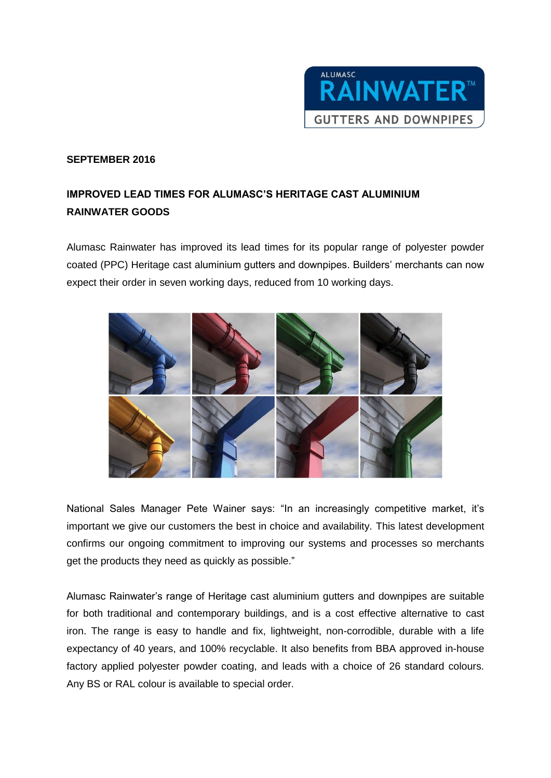

## **SEPTEMBER 2016**

## **IMPROVED LEAD TIMES FOR ALUMASC'S HERITAGE CAST ALUMINIUM RAINWATER GOODS**

Alumasc Rainwater has improved its lead times for its popular range of polyester powder coated (PPC) Heritage cast aluminium gutters and downpipes. Builders' merchants can now expect their order in seven working days, reduced from 10 working days.



National Sales Manager Pete Wainer says: "In an increasingly competitive market, it's important we give our customers the best in choice and availability. This latest development confirms our ongoing commitment to improving our systems and processes so merchants get the products they need as quickly as possible."

Alumasc Rainwater's range of Heritage cast aluminium gutters and downpipes are suitable for both traditional and contemporary buildings, and is a cost effective alternative to cast iron. The range is easy to handle and fix, lightweight, non-corrodible, durable with a life expectancy of 40 years, and 100% recyclable. It also benefits from BBA approved in-house factory applied polyester powder coating, and leads with a choice of 26 standard colours. Any BS or RAL colour is available to special order.